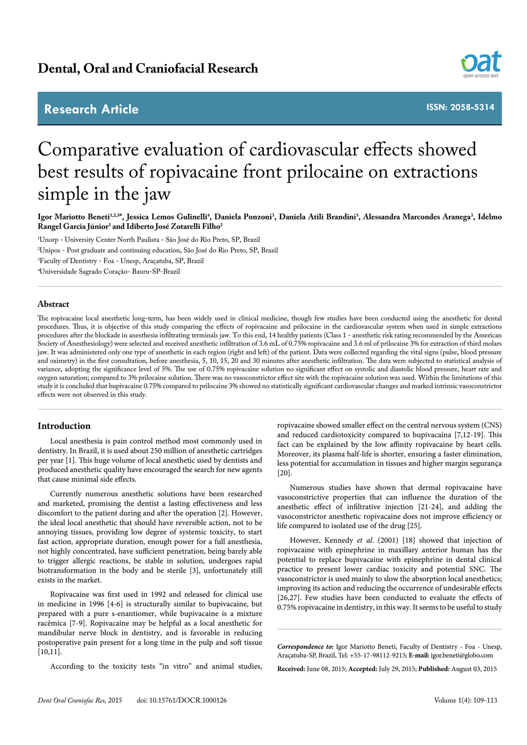# **Research Article**



**ISSN: 2058-5314**

# Comparative evaluation of cardiovascular effects showed best results of ropivacaine front prilocaine on extractions simple in the jaw

lgor Mariotto Beneti<sup>1,2,3</sup>\*, Jessica Lemos Gulinelli<sup>4</sup>, Daniela Ponzoni<sup>3</sup>, Daniela Atili Brandini<sup>3</sup>, Alessandra Marcondes Aranega<sup>3</sup>, Idelmo **Rangel Garcia Júnior3 and Idiberto José Zotarelli Filho2**

 Unorp - University Center North Paulista - São José do Rio Preto, SP, Brazil Unipos - Post graduate and continuing education, São José do Rio Preto, SP, Brazil Faculty of Dentistry - Foa - Unesp, Araçatuba, SP, Brazil Universidade Sagrado Coração- Bauru-SP-Brazil

# **Abstract**

The ropivacaine local anesthetic long-term, has been widely used in clinical medicine, though few studies have been conducted using the anesthetic for dental procedures. Thus, it is objective of this study comparing the effects of ropivacaine and prilocaine in the cardiovascular system when used in simple extractions procedures after the blockade in anesthesia infiltrating terminals jaw. To this end, 14 healthy patients (Class 1 - anesthetic risk rating recommended by the American Society of Anesthesiology) were selected and received anesthetic infiltration of 3.6 mL of 0.75% ropivacaine and 3.6 ml of prilocaine 3% for extraction of third molars jaw. It was administered only one type of anesthetic in each region (right and left) of the patient. Data were collected regarding the vital signs (pulse, blood pressure and oximetry) in the first consultation, before anesthesia, 5, 10, 15, 20 and 30 minutes after anesthetic infiltration. The data were subjected to statistical analysis of variance, adopting the significance level of 5%. The use of 0.75% ropivacaine solution no significant effect on systolic and diastolic blood pressure, heart rate and oxygen saturation; compared to 3% prilocaine solution. There was no vasoconstrictor effect site with the ropivacaine solution was used. Within the limitations of this study it is concluded that bupivacaine 0.75% compared to prilocaine 3% showed no statistically significant cardiovascular changes and marked intrinsic vasoconstrictor effects were not observed in this study.

# **Introduction**

Local anesthesia is pain control method most commonly used in dentistry. In Brazil, it is used about 250 million of anesthetic cartridges per year [1]. This huge volume of local anesthetic used by dentists and produced anesthetic quality have encouraged the search for new agents that cause minimal side effects.

Currently numerous anesthetic solutions have been researched and marketed, promising the dentist a lasting effectiveness and less discomfort to the patient during and after the operation [2]. However, the ideal local anesthetic that should have reversible action, not to be annoying tissues, providing low degree of systemic toxicity, to start fast action, appropriate duration, enough power for a full anesthesia, not highly concentrated, have sufficient penetration, being barely able to trigger allergic reactions, be stable in solution, undergoes rapid biotransformation in the body and be sterile [3], unfortunately still exists in the market.

Ropivacaine was first used in 1992 and released for clinical use in medicine in 1996 [4-6] is structurally similar to bupivacaine, but prepared with a pure s-enantiomer, while bupivacaine is a mixture racêmica [7-9]. Ropivacaine may be helpful as a local anesthetic for mandibular nerve block in dentistry, and is favorable in reducing postoperative pain present for a long time in the pulp and soft tissue [10,11].

According to the toxicity tests "in vitro" and animal studies,

ropivacaine showed smaller effect on the central nervous system (CNS) and reduced cardiotoxicity compared to bupivacaína [7,12-19]. This fact can be explained by the low affinity ropivacaine by heart cells. Moreover, its plasma half-life is shorter, ensuring a faster elimination, less potential for accumulation in tissues and higher margin segurança [20].

Numerous studies have shown that dermal ropivacaine have vasoconstrictive properties that can influence the duration of the anesthetic effect of infiltrative injection [21-24], and adding the vasoconstrictor anesthetic ropivacaine does not improve efficiency or life compared to isolated use of the drug [25].

However, Kennedy *et al*. (2001) [18] showed that injection of ropivacaine with epinephrine in maxillary anterior human has the potential to replace bupivacaine with epinephrine in dental clinical practice to present lower cardiac toxicity and potential SNC. The vasoconstrictor is used mainly to slow the absorption local anesthetics; improving its action and reducing the occurrence of undesirable effects [26,27]. Few studies have been conducted to evaluate the effects of 0.75% ropivacaine in dentistry, in this way. It seems to be useful to study

*Correspondence to:* Igor Mariotto Beneti, Faculty of Dentistry - Foa - Unesp, Araçatuba-SP, Brazil, Tel: +55-17-98112-9215; **E-mail:** igor.beneti@globo.com

**Received:** June 08, 2015; **Accepted:** July 29, 2015; **Published:** August 03, 2015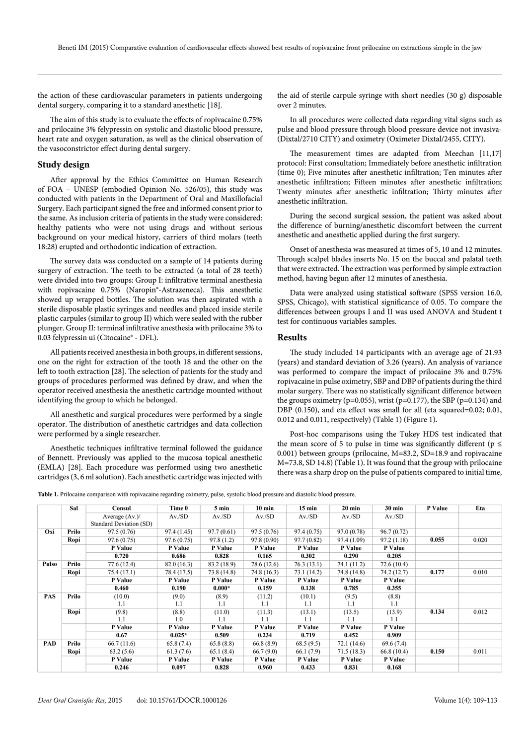the action of these cardiovascular parameters in patients undergoing dental surgery, comparing it to a standard anesthetic [18].

The aim of this study is to evaluate the effects of ropivacaine 0.75% and prilocaine 3% felypressin on systolic and diastolic blood pressure, heart rate and oxygen saturation, as well as the clinical observation of the vasoconstrictor effect during dental surgery.

# **Study design**

After approval by the Ethics Committee on Human Research of FOA – UNESP (embodied Opinion No. 526/05), this study was conducted with patients in the Department of Oral and Maxillofacial Surgery. Each participant signed the free and informed consent prior to the same. As inclusion criteria of patients in the study were considered: healthy patients who were not using drugs and without serious background on your medical history, carriers of third molars (teeth 18:28) erupted and orthodontic indication of extraction.

The survey data was conducted on a sample of 14 patients during surgery of extraction. The teeth to be extracted (a total of 28 teeth) were divided into two groups: Group I: infiltrative terminal anesthesia with ropivacaine 0.75% (Naropin®-Astrazeneca). This anesthetic showed up wrapped bottles. The solution was then aspirated with a sterile disposable plastic syringes and needles and placed inside sterile plastic carpules (similar to group II) which were sealed with the rubber plunger. Group II: terminal infiltrative anesthesia with prilocaine 3% to 0.03 felypressin ui (Citocaine® - DFL).

All patients received anesthesia in both groups, in different sessions, one on the right for extraction of the tooth 18 and the other on the left to tooth extraction [28]. The selection of patients for the study and groups of procedures performed was defined by draw, and when the operator received anesthesia the anesthetic cartridge mounted without identifying the group to which he belonged.

All anesthetic and surgical procedures were performed by a single operator. The distribution of anesthetic cartridges and data collection were performed by a single researcher.

Anesthetic techniques infiltrative terminal followed the guidance of Bennett. Previously was applied to the mucosa topical anesthetic (EMLA) [28]. Each procedure was performed using two anesthetic cartridges (3, 6 ml solution). Each anesthetic cartridge was injected with

the aid of sterile carpule syringe with short needles (30 g) disposable over 2 minutes.

In all procedures were collected data regarding vital signs such as pulse and blood pressure through blood pressure device not invasiva- (Dixtal/2710 CITY) and oximetry (Oximeter Dixtal/2455, CITY).

The measurement times are adapted from Meechan [11,17] protocol: First consultation; Immediately before anesthetic infiltration (time 0); Five minutes after anesthetic infiltration; Ten minutes after anesthetic infiltration; Fifteen minutes after anesthetic infiltration; Twenty minutes after anesthetic infiltration; Thirty minutes after anesthetic infiltration.

During the second surgical session, the patient was asked about the difference of burning/anesthetic discomfort between the current anesthetic and anesthetic applied during the first surgery.

Onset of anesthesia was measured at times of 5, 10 and 12 minutes. Through scalpel blades inserts No. 15 on the buccal and palatal teeth that were extracted. The extraction was performed by simple extraction method, having begun after 12 minutes of anesthesia.

Data were analyzed using statistical software (SPSS version 16.0, SPSS, Chicago), with statistical significance of 0.05. To compare the differences between groups I and II was used ANOVA and Student t test for continuous variables samples.

## **Results**

The study included 14 participants with an average age of 21.93 (years) and standard deviation of 3.26 (years). An analysis of variance was performed to compare the impact of prilocaine 3% and 0.75% ropivacaine in pulse oximetry, SBP and DBP of patients during the third molar surgery. There was no statistically significant difference between the groups oximetry (p=0.055), wrist (p=0.177), the SBP (p=0.134) and DBP (0.150), and eta effect was small for all (eta squared=0.02; 0.01, 0.012 and 0.011, respectively) (Table 1) (Figure 1).

Post-hoc comparisons using the Tukey HDS test indicated that the mean score of 5 to pulse in time was significantly different ( $p \le$ 0.001) between groups (prilocaine, M=83.2, SD=18.9 and ropivacaine M=73.8, SD 14.8) (Table 1). It was found that the group with prilocaine there was a sharp drop on the pulse of patients compared to initial time,

**Table 1.** Prilocaine comparison with ropivacaine regarding oximetry, pulse, systolic blood pressure and diastolic blood pressure.

|            | Sal   | Consul                                     | Time 0      | 5 min       | $10 \text{ min}$ | $15 \text{ min}$ | $20 \text{ min}$ | $30 \text{ min}$ | P Value | Eta   |
|------------|-------|--------------------------------------------|-------------|-------------|------------------|------------------|------------------|------------------|---------|-------|
|            |       | Average $(Av.)$<br>Standard Deviation (SD) | Av/SD       | $Av$ ./SD   | $Av$ /SD         | $Av$ /SD         | $Av$ ./SD        | $Av$ /SD         |         |       |
| Oxi        | Prilo | 97.5 (0.76)                                | 97.4 (1.45) | 97.7(0.61)  | 97.5(0.76)       | 97.4(0.75)       | 97.0 (0.78)      | 96.7(0.72)       |         |       |
|            | Ropi  | 97.6(0.75)                                 | 97.6(0.75)  | 97.8(1.2)   | 97.8 (0.90)      | 97.7(0.82)       | 97.4 (1.09)      | 97.2(1.18)       | 0.055   | 0.020 |
|            |       | P Value                                    | P Value     | P Value     | P Value          | P Value          | P Value          | P Value          |         |       |
|            |       | 0.720                                      | 0.686       | 0.828       | 0.165            | 0.302            | 0.290            | 0.205            |         |       |
| Pulso      | Prilo | 77.6 (12.4)                                | 82.0(16.3)  | 83.2 (18.9) | 78.6 (12.6)      | 76.3(13.1)       | 74.1 (11.2)      | 72.6(10.4)       |         |       |
|            | Ropi  | 75.4 (17.1)                                | 78.4 (17.5) | 73.8 (14.8) | 74.8 (16.3)      | 73.1 (14.2)      | 74.8 (14.8)      | 74.2 (12.7)      | 0.177   | 0.010 |
|            |       | P Value                                    | P Value     | P Value     | P Value          | P Value          | P Value          | P Value          |         |       |
|            |       | 0.460                                      | 0.190       | $0.000*$    | 0.159            | 0.138            | 0.785            | 0.355            |         |       |
| <b>PAS</b> | Prilo | (10.0)                                     | (9.0)       | (8.9)       | (11.2)           | (10.1)           | (9.5)            | (8.8)            |         |       |
|            |       | 1.1                                        | 1.1         | 1.1         | 1.1              | 1.1              | 1.1              | 1.1              |         |       |
|            | Ropi  | (9.8)                                      | (8.8)       | (11.0)      | (11.3)           | (13.1)           | (13.5)           | (13.9)           | 0.134   | 0.012 |
|            |       | 1.1                                        | 1.0         | 1.1         | 1.1              | 1.1              | 1.1              | 1.1              |         |       |
|            |       | P Value                                    | P Value     | P Value     | P Value          | P Value          | P Value          | P Value          |         |       |
|            |       | 0.67                                       | $0.025*$    | 0.509       | 0.234            | 0.719            | 0.452            | 0.909            |         |       |
| PAD        | Prilo | 66.7(11.6)                                 | 65.8(7.4)   | 65.8(8.8)   | 66.8(8.9)        | 68.5(9.5)        | 72.1(14.6)       | 69.6 (7.4)       |         |       |
|            | Ropi  | 63.2(5.6)                                  | 61.3(7.6)   | 65.1(8.4)   | 66.7(9.0)        | 66.1(7.9)        | 71.5(18.3)       | 66.8(10.4)       | 0.150   | 0.011 |
|            |       | P Value                                    | P Value     | P Value     | P Value          | P Value          | P Value          | P Value          |         |       |
|            |       | 0.246                                      | 0.097       | 0.828       | 0.960            | 0.433            | 0.831            | 0.168            |         |       |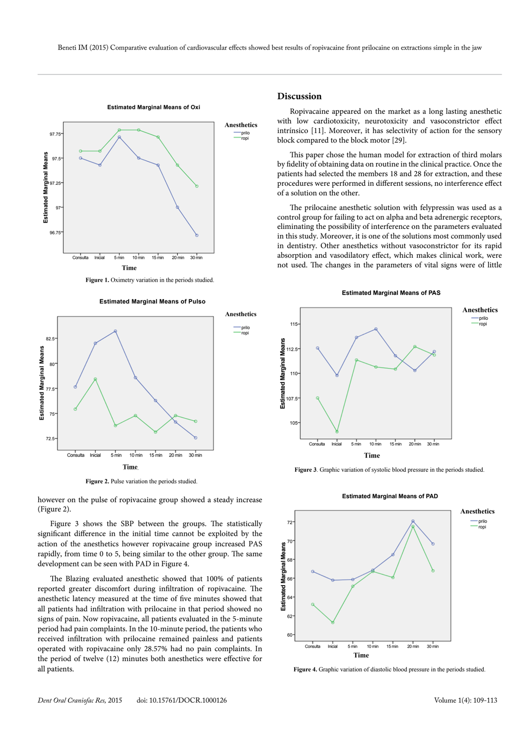prilo ropi

**Anesthetics**



#### **Estimated Marginal Means of Oxi**

**Figure 1.** Oximetry variation in the periods studied.

**Estimated Marginal Means of Pulso**

82.5 Estimated Marginal Means **Estimated Marginal Means** 80 77.5 75 72.5 Consulta Inicial 5 min 10 min 15 min 20 min 30 min **Time**

**Figure 2.** Pulse variation the periods studied.

however on the pulse of ropivacaine group showed a steady increase (Figure 2).

Figure 3 shows the SBP between the groups. The statistically significant difference in the initial time cannot be exploited by the action of the anesthetics however ropivacaine group increased PAS rapidly, from time 0 to 5, being similar to the other group. The same development can be seen with PAD in Figure 4.

The Blazing evaluated anesthetic showed that 100% of patients reported greater discomfort during infiltration of ropivacaine. The anesthetic latency measured at the time of five minutes showed that all patients had infiltration with prilocaine in that period showed no signs of pain. Now ropivacaine, all patients evaluated in the 5-minute period had pain complaints. In the 10-minute period, the patients who received infiltration with prilocaine remained painless and patients operated with ropivacaine only 28.57% had no pain complaints. In the period of twelve (12) minutes both anesthetics were effective for all patients.

#### **Discussion**

Ropivacaine appeared on the market as a long lasting anesthetic with low cardiotoxicity, neurotoxicity and vasoconstrictor effect intrínsico [11]. Moreover, it has selectivity of action for the sensory block compared to the block motor [29].

This paper chose the human model for extraction of third molars by fidelity of obtaining data on routine in the clinical practice. Once the patients had selected the members 18 and 28 for extraction, and these procedures were performed in different sessions, no interference effect of a solution on the other.

The prilocaine anesthetic solution with felypressin was used as a control group for failing to act on alpha and beta adrenergic receptors, eliminating the possibility of interference on the parameters evaluated in this study. Moreover, it is one of the solutions most commonly used in dentistry. Other anesthetics without vasoconstrictor for its rapid absorption and vasodilatory effect, which makes clinical work, were not used. The changes in the parameters of vital signs were of little





**Figure 3**. Graphic variation of systolic blood pressure in the periods studied.



**Estimated Marginal Means of PAD**

**Figure 4.** Graphic variation of diastolic blood pressure in the periods studied.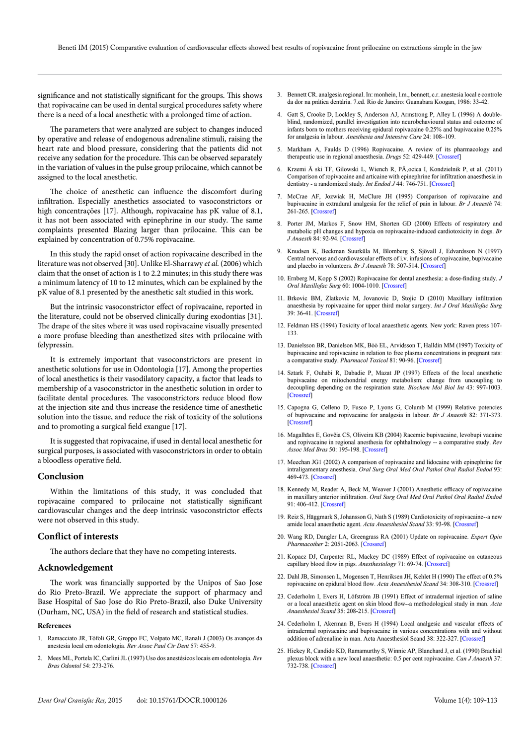significance and not statistically significant for the groups. This shows that ropivacaine can be used in dental surgical procedures safety where there is a need of a local anesthetic with a prolonged time of action.

The parameters that were analyzed are subject to changes induced by operative and release of endogenous adrenaline stimuli, raising the heart rate and blood pressure, considering that the patients did not receive any sedation for the procedure. This can be observed separately in the variation of values in the pulse group prilocaine, which cannot be assigned to the local anesthetic.

The choice of anesthetic can influence the discomfort during infiltration. Especially anesthetics associated to vasoconstrictors or high concentrações [17]. Although, ropivacaine has pK value of 8.1, it has not been associated with epinephrine in our study. The same complaints presented Blazing larger than prilocaine. This can be explained by concentration of 0.75% ropivacaine.

In this study the rapid onset of action ropivacaine described in the literature was not observed [30]. Unlike El-Sharrawy *et al.* (2006) which claim that the onset of action is 1 to 2.2 minutes; in this study there was a minimum latency of 10 to 12 minutes, which can be explained by the pK value of 8.1 presented by the anesthetic salt studied in this work.

But the intrinsic vasoconstrictor effect of ropivacaine, reported in the literature, could not be observed clinically during exodontias [31]. The drape of the sites where it was used ropivacaine visually presented a more profuse bleeding than anesthetized sites with prilocaine with felypressin.

It is extremely important that vasoconstrictors are present in anesthetic solutions for use in Odontologia [17]. Among the properties of local anesthetics is their vasodilatory capacity, a factor that leads to membership of a vasoconstrictor in the anesthetic solution in order to facilitate dental procedures. The vasoconstrictors reduce blood flow at the injection site and thus increase the residence time of anesthetic solution into the tissue, and reduce the risk of toxicity of the solutions and to promoting a surgical field exangue [17].

It is suggested that ropivacaine, if used in dental local anesthetic for surgical purposes, is associated with vasoconstrictors in order to obtain a bloodless operative field.

#### **Conclusion**

Within the limitations of this study, it was concluded that ropivacaine compared to prilocaine not statistically significant cardiovascular changes and the deep intrinsic vasoconstrictor effects were not observed in this study.

# **Conflict of interests**

The authors declare that they have no competing interests.

### **Acknowledgement**

The work was financially supported by the Unipos of Sao Jose do Rio Preto-Brazil. We appreciate the support of pharmacy and Base Hospital of Sao Jose do Rio Preto-Brazil, also Duke University (Durham, NC, USA) in the field of research and statistical studies.

#### **References**

- 1. Ramacciato JR, Tófoli GR, Groppo FC, Volpato MC, Ranali J (2003) Os avanços da anestesia local em odontologia. *Rev Assoc Paul Cir Dent* 57: 455-9.
- 2. Mees ML, Portela IC, Carlini JL (1997) Uso dos anestésicos locais em odontologia. *Rev Bras Odontol* 54: 273-276.
- 3. Bennett CR. analgesia regional. In: monhein, l.m., bennett, c.r. anestesia local e controle da dor na prática dentária. 7.ed. Rio de Janeiro: Guanabara Koogan, 1986: 33-42.
- Gatt S, Crooke D, Lockley S, Anderson AJ, Armstrong P, Alley L (1996) A doubleblind, randomized, parallel investigation into neurobehavioural status and outcome of infants born to mothers receiving epidural ropivacaine 0.25% and bupivacaine 0.25% for analgesia in labour. *Anesthesia and Intensive Care* 24: 108–109.
- 5. Markham A, Faulds D (1996) Ropivacaine. A review of its pharmacology and therapeutic use in regional anaesthesia. *Drugs* 52: 429-449. [[Crossref\]](http://www.ncbi.nlm.nih.gov/pubmed/8875132)
- 6. Krzemi Å ski TF, Gilowski L, Wiench R, PÅ, ocica I, Kondzielnik P, et al. (2011) Comparison of ropivacaine and articaine with epinephrine for infiltration anaesthesia in dentistry - a randomized study. *Int Endod J* 44: 746-751. [\[Crossref](http://www.ncbi.nlm.nih.gov/pubmed/21470248)]
- 7. McCrae AF, Jozwiak H, McClure JH (1995) Comparison of ropivacaine and bupivacaine in extradural analgesia for the relief of pain in labour. *Br J Anaesth* 74: 261-265. [[Crossref](http://www.ncbi.nlm.nih.gov/pubmed/7718368)]
- 8. Porter JM, Markos F, Snow HM, Shorten GD (2000) Effects of respiratory and metabolic pH changes and hypoxia on ropivacaine-induced cardiotoxicity in dogs. *Br J Anaesth* 84: 92-94. [[Crossref](http://www.ncbi.nlm.nih.gov/pubmed/10740554)]
- 9. Knudsen K, Beckman Suurküla M, Blomberg S, Sjövall J, Edvardsson N (1997) Central nervous and cardiovascular effects of i.v. infusions of ropivacaine, bupivacaine and placebo in volunteers. *Br J Anaesth* 78: 507-514. [[Crossref](http://www.ncbi.nlm.nih.gov/pubmed/9175963)]
- 10. Ernberg M, Kopp S (2002) Ropivacaine for dental anesthesia: a dose-finding study. *J Oral Maxillofac Surg* 60: 1004-1010. [\[Crossref](http://www.ncbi.nlm.nih.gov/pubmed/12215984)]
- 11. Brkovic BM, Zlatkovic M, Jovanovic D, Stojic D (2010) Maxillary infiltration anaesthesia by ropivacaine for upper third molar surgery. *Int J Oral Maxillofac Surg* 39: 36-41. [\[Crossref](http://www.ncbi.nlm.nih.gov/pubmed/20005673)]
- 12. Feldman HS (1994) Toxicity of local anaesthetic agents. New york: Raven press 107- 133.
- 13. Danielsson BR, Danielson MK, Böö EL, Arvidsson T, Halldin MM (1997) Toxicity of bupivacaine and ropivacaine in relation to free plasma concentrations in pregnant rats: a comparative study. *Pharmacol Toxicol* 81: 90-96. [[Crossref\]](http://www.ncbi.nlm.nih.gov/pubmed/9298506)
- 14. Sztark F, Ouhabi R, Dabadie P, Mazat JP (1997) Effects of the local anesthetic bupivacaine on mitochondrial energy metabolism: change from uncoupling to decoupling depending on the respiration state. *Biochem Mol Biol Int* 43: 997-1003. [[Crossref\]](http://www.ncbi.nlm.nih.gov/pubmed/9415808)
- 15. Capogna G, Celleno D, Fusco P, Lyons G, Columb M (1999) Relative potencies of bupivacaine and ropivacaine for analgesia in labour. *Br J Anaesth* 82: 371-373. [[Crossref\]](http://www.ncbi.nlm.nih.gov/pubmed/10434818)
- 16. Magalhães E, Govêia CS, Oliveira KB (2004) Racemic bupivacaine, levobupi vacaine and ropivacaine in regional anesthesia for ophthalmology -- a comparative study. *Rev Assoc Med Bras* 50: 195-198. [[Crossref](http://www.ncbi.nlm.nih.gov/pubmed/15286870)]
- 17. Meechan JG1 (2002) A comparison of ropivacaine and lidocaine with epinephrine for intraligamentary anesthesia. *Oral Surg Oral Med Oral Pathol Oral Radiol Endod* 93: 469-473. [[Crossref](http://www.ncbi.nlm.nih.gov/pubmed/12029287)]
- 18. Kennedy M, Reader A, Beck M, Weaver J (2001) Anesthetic efficacy of ropivacaine in maxillary anterior infiltration. *Oral Surg Oral Med Oral Pathol Oral Radiol Endod* 91: 406-412. [\[Crossref](http://www.ncbi.nlm.nih.gov/pubmed/11312459)]
- 19. Reiz S, Häggmark S, Johansson G, Nath S (1989) Cardiotoxicity of ropivacaine--a new amide local anaesthetic agent. *Acta Anaesthesiol Scand* 33: 93-98. [\[Crossref\]](http://www.ncbi.nlm.nih.gov/pubmed/2922986)
- 20. Wang RD, Dangler LA, Greengrass RA (2001) Update on ropivacaine. *Expert Opin Pharmacother* 2: 2051-2063. [\[Crossref\]](http://www.ncbi.nlm.nih.gov/pubmed/11825334)
- 21. Kopacz DJ, Carpenter RL, Mackey DC (1989) Effect of ropivacaine on cutaneous capillary blood flow in pigs. *Anesthesiology* 71: 69-74. [\[Crossref\]](http://www.ncbi.nlm.nih.gov/pubmed/2751142)
- 22. Dahl JB, Simonsen L, Mogensen T, Henriksen JH, Kehlet H (1990) The effect of 0.5% ropivacaine on epidural blood flow. *Acta Anaesthesiol Scand* 34: 308-310. [[Crossref\]](http://www.ncbi.nlm.nih.gov/pubmed/2343734)
- 23. Cederholm I, Evers H, Löfström JB (1991) Effect of intradermal injection of saline or a local anaesthetic agent on skin blood flow--a methodological study in man. *Acta Anaesthesiol Scand* 35: 208-215. [\[Crossref\]](http://www.ncbi.nlm.nih.gov/pubmed/2038927)
- 24. Cederholm I, Akerman B, Evers H (1994) Local analgesic and vascular effects of intradermal ropivacaine and bupivacaine in various concentrations with and without addition of adrenaline in man. Acta Anaesthesiol Scand 38: 322-327. [\[Crossref\]](http://www.ncbi.nlm.nih.gov/pubmed/8067217)
- 25. Hickey R, Candido KD, Ramamurthy S, Winnie AP, Blanchard J, et al. (1990) Brachial plexus block with a new local anaesthetic: 0.5 per cent ropivacaine. *Can J Anaesth* 37: 732-738. [[Crossref](http://www.ncbi.nlm.nih.gov/pubmed/2225289)]